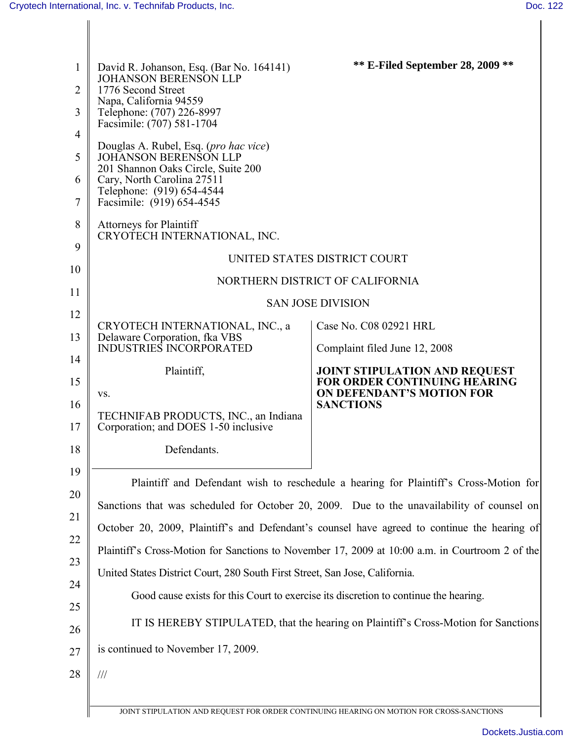| 1<br>$\overline{2}$<br>3<br>$\overline{4}$<br>5 | David R. Johanson, Esq. (Bar No. 164141)<br><b>JOHANSON BERENSON LLP</b><br>1776 Second Street<br>Napa, California 94559<br>Telephone: (707) 226-8997<br>Facsimile: (707) 581-1704<br>Douglas A. Rubel, Esq. (pro hac vice)<br><b>JOHANSON BERENSON LLP</b><br>201 Shannon Oaks Circle, Suite 200 | <b>** E-Filed September 28, 2009 **</b>                                                  |  |
|-------------------------------------------------|---------------------------------------------------------------------------------------------------------------------------------------------------------------------------------------------------------------------------------------------------------------------------------------------------|------------------------------------------------------------------------------------------|--|
| 6<br>7                                          | Cary, North Carolina 27511<br>Telephone: (919) 654-4544<br>Facsimile: (919) 654-4545                                                                                                                                                                                                              |                                                                                          |  |
| 8<br>9                                          | Attorneys for Plaintiff<br>CRYOTECH INTERNATIONAL, INC.<br>UNITED STATES DISTRICT COURT                                                                                                                                                                                                           |                                                                                          |  |
|                                                 |                                                                                                                                                                                                                                                                                                   |                                                                                          |  |
| 10                                              | NORTHERN DISTRICT OF CALIFORNIA                                                                                                                                                                                                                                                                   |                                                                                          |  |
| 11<br>12                                        | <b>SAN JOSE DIVISION</b>                                                                                                                                                                                                                                                                          |                                                                                          |  |
| 13                                              | CRYOTECH INTERNATIONAL, INC., a<br>Delaware Corporation, fka VBS                                                                                                                                                                                                                                  | Case No. C08 02921 HRL                                                                   |  |
| 14                                              | <b>INDUSTRIES INCORPORATED</b>                                                                                                                                                                                                                                                                    | Complaint filed June 12, 2008                                                            |  |
| 15                                              | Plaintiff,                                                                                                                                                                                                                                                                                        | <b>JOINT STIPULATION AND REQUEST</b><br><b>FOR ORDER CONTINUING HEARING</b>              |  |
| 16<br>17                                        | VS.<br>TECHNIFAB PRODUCTS, INC., an Indiana<br>Corporation; and DOES 1-50 inclusive                                                                                                                                                                                                               | ON DEFENDANT'S MOTION FOR<br><b>SANCTIONS</b>                                            |  |
| 18                                              | Defendants.                                                                                                                                                                                                                                                                                       |                                                                                          |  |
| 19<br>20                                        | Plaintiff and Defendant wish to reschedule a hearing for Plaintiff's Cross-Motion for<br>Sanctions that was scheduled for October 20, 2009. Due to the unavailability of counsel on                                                                                                               |                                                                                          |  |
| 21                                              |                                                                                                                                                                                                                                                                                                   |                                                                                          |  |
| 22                                              | October 20, 2009, Plaintiff's and Defendant's counsel have agreed to continue the hearing of                                                                                                                                                                                                      |                                                                                          |  |
| 23                                              | Plaintiff's Cross-Motion for Sanctions to November 17, 2009 at 10:00 a.m. in Courtroom 2 of the<br>United States District Court, 280 South First Street, San Jose, California.                                                                                                                    |                                                                                          |  |
| 24                                              |                                                                                                                                                                                                                                                                                                   |                                                                                          |  |
| 25                                              | Good cause exists for this Court to exercise its discretion to continue the hearing.                                                                                                                                                                                                              |                                                                                          |  |
| 26                                              | IT IS HEREBY STIPULATED, that the hearing on Plaintiff's Cross-Motion for Sanctions                                                                                                                                                                                                               |                                                                                          |  |
| 27                                              | is continued to November 17, 2009.                                                                                                                                                                                                                                                                |                                                                                          |  |
| 28                                              | $/ \! / \! /$                                                                                                                                                                                                                                                                                     |                                                                                          |  |
|                                                 |                                                                                                                                                                                                                                                                                                   | JOINT STIPULATION AND REQUEST FOR ORDER CONTINUING HEARING ON MOTION FOR CROSS-SANCTIONS |  |